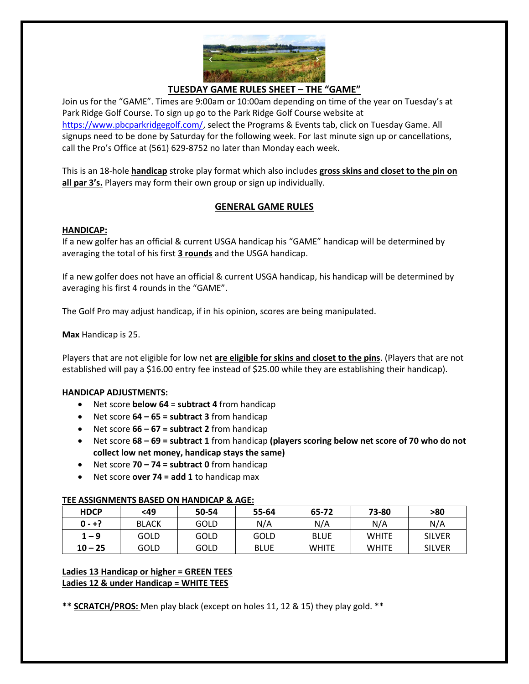

## **TUESDAY GAME RULES SHEET – THE "GAME"**

Join us for the "GAME". Times are 9:00am or 10:00am depending on time of the year on Tuesday's at Park Ridge Golf Course. To sign up go to the Park Ridge Golf Course website at [https://www.pbcparkridgegolf.com/,](https://www.pbcparkridgegolf.com/) select the Programs & Events tab, click on Tuesday Game. All signups need to be done by Saturday for the following week. For last minute sign up or cancellations, call the Pro's Office at (561) 629-8752 no later than Monday each week.

This is an 18-hole **handicap** stroke play format which also includes **gross skins and closet to the pin on all par 3's.** Players may form their own group or sign up individually.

# **GENERAL GAME RULES**

#### **HANDICAP:**

If a new golfer has an official & current USGA handicap his "GAME" handicap will be determined by averaging the total of his first **3 rounds** and the USGA handicap.

If a new golfer does not have an official & current USGA handicap, his handicap will be determined by averaging his first 4 rounds in the "GAME".

The Golf Pro may adjust handicap, if in his opinion, scores are being manipulated.

**Max** Handicap is 25.

Players that are not eligible for low net **are eligible for skins and closet to the pins**. (Players that are not established will pay a \$16.00 entry fee instead of \$25.00 while they are establishing their handicap).

#### **HANDICAP ADJUSTMENTS:**

- Net score **below 64** = **subtract 4** from handicap
- Net score **64 – 65 = subtract 3** from handicap
- Net score **66 – 67 = subtract 2** from handicap
- Net score **68 – 69 = subtract 1** from handicap **(players scoring below net score of 70 who do not collect low net money, handicap stays the same)**
- Net score **70 – 74 = subtract 0** from handicap
- Net score **over 74 = add 1** to handicap max

#### **TEE ASSIGNMENTS BASED ON HANDICAP & AGE:**

| <b>HDCP</b> | $49$         | 50-54 | 55-64       | 65-72        | 73-80        | >80           |
|-------------|--------------|-------|-------------|--------------|--------------|---------------|
| $0 - +?$    | <b>BLACK</b> | GOLD  | N/A         | N/A          | N/A          | N/A           |
| $1 - 9$     | GOLD         | GOLD  | GOLD        | <b>BLUE</b>  | <b>WHITE</b> | <b>SILVER</b> |
| $10 - 25$   | GOLD         | GOLD  | <b>BLUE</b> | <b>WHITE</b> | <b>WHITE</b> | <b>SILVER</b> |

#### **Ladies 13 Handicap or higher = GREEN TEES Ladies 12 & under Handicap = WHITE TEES**

**\*\* SCRATCH/PROS:** Men play black (except on holes 11, 12 & 15) they play gold. \*\*